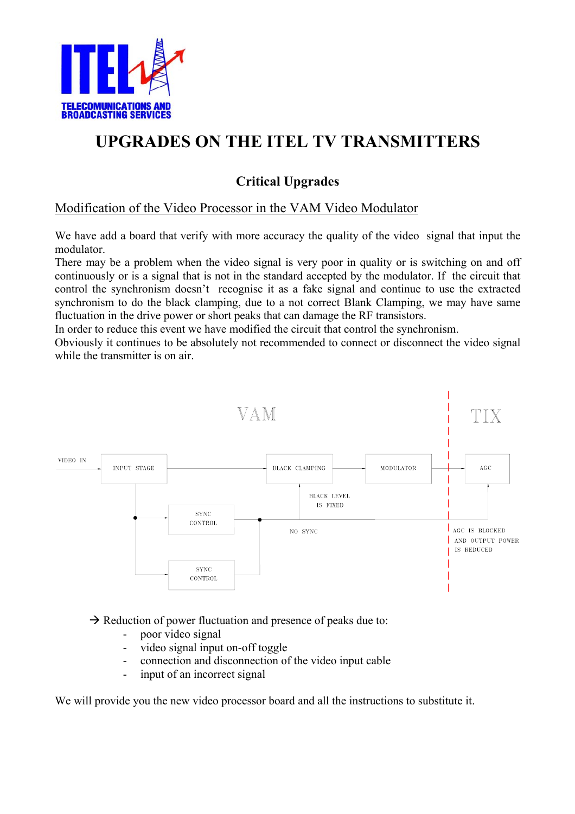

# **UPGRADES ON THE ITEL TV TRANSMITTERS**

# **Critical Upgrades**

## Modification of the Video Processor in the VAM Video Modulator

We have add a board that verify with more accuracy the quality of the video signal that input the modulator.

There may be a problem when the video signal is very poor in quality or is switching on and off continuously or is a signal that is not in the standard accepted by the modulator. If the circuit that control the synchronism doesn't recognise it as a fake signal and continue to use the extracted synchronism to do the black clamping, due to a not correct Blank Clamping, we may have same fluctuation in the drive power or short peaks that can damage the RF transistors.

In order to reduce this event we have modified the circuit that control the synchronism.

Obviously it continues to be absolutely not recommended to connect or disconnect the video signal while the transmitter is on air.



 $\rightarrow$  Reduction of power fluctuation and presence of peaks due to:

- poor video signal
- video signal input on-off toggle
- connection and disconnection of the video input cable
- input of an incorrect signal

We will provide you the new video processor board and all the instructions to substitute it.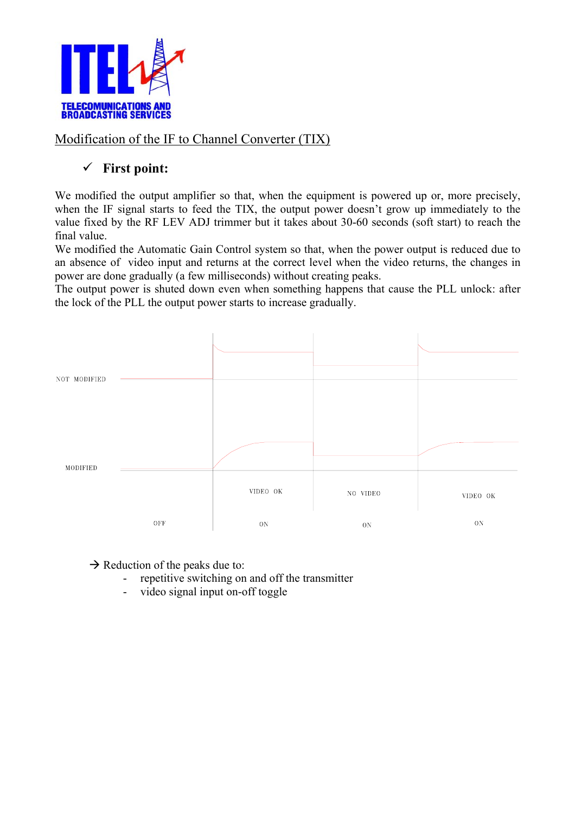

Modification of the IF to Channel Converter (TIX)

## 9 **First point:**

We modified the output amplifier so that, when the equipment is powered up or, more precisely, when the IF signal starts to feed the TIX, the output power doesn't grow up immediately to the value fixed by the RF LEV ADJ trimmer but it takes about 30-60 seconds (soft start) to reach the final value.

We modified the Automatic Gain Control system so that, when the power output is reduced due to an absence of video input and returns at the correct level when the video returns, the changes in power are done gradually (a few milliseconds) without creating peaks.

The output power is shuted down even when something happens that cause the PLL unlock: after the lock of the PLL the output power starts to increase gradually.



 $\rightarrow$  Reduction of the peaks due to:

- repetitive switching on and off the transmitter
- video signal input on-off toggle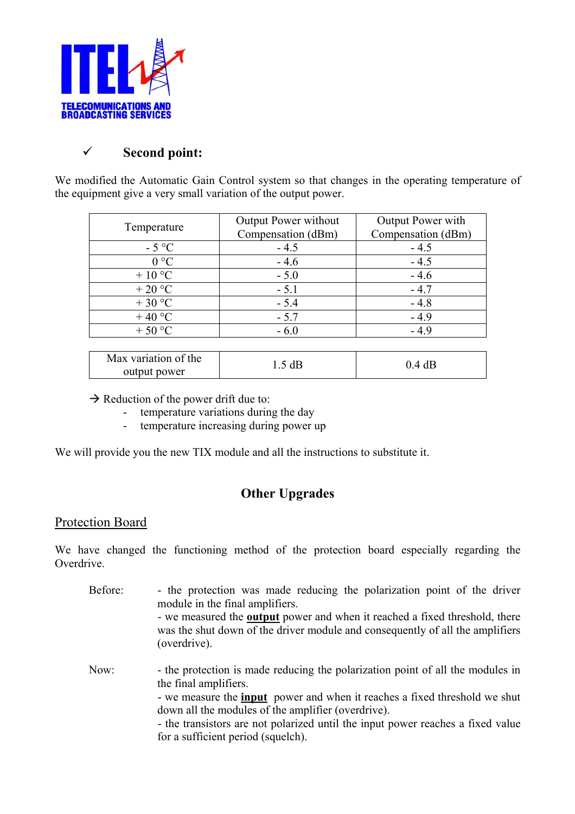

## 9 **Second point:**

We modified the Automatic Gain Control system so that changes in the operating temperature of the equipment give a very small variation of the output power.

| Temperature   | <b>Output Power without</b><br>Compensation (dBm) | Output Power with<br>Compensation (dBm) |
|---------------|---------------------------------------------------|-----------------------------------------|
| $-5^{\circ}C$ | $-4.5$                                            | $-4.5$                                  |
| $0^{\circ}C$  | $-4.6$                                            | $-4.5$                                  |
| $+10$ °C      | $-5.0$                                            | $-4.6$                                  |
| $+20$ °C      | $-5.1$                                            | $-4.7$                                  |
| $+30$ °C      | $-5.4$                                            | $-4.8$                                  |
| $+40$ °C      | $-5.7$                                            | $-4.9$                                  |
| $+50 °C$      | $-6.0$                                            | $-4.9$                                  |

| Max variation of the | 1.5 dB | 0.4 dB |
|----------------------|--------|--------|
| output power         |        |        |

- $\rightarrow$  Reduction of the power drift due to:
	- temperature variations during the day
	- temperature increasing during power up

We will provide you the new TIX module and all the instructions to substitute it.

## **Other Upgrades**

#### Protection Board

We have changed the functioning method of the protection board especially regarding the Overdrive.

Before: - the protection was made reducing the polarization point of the driver module in the final amplifiers. - we measured the **output** power and when it reached a fixed threshold, there was the shut down of the driver module and consequently of all the amplifiers (overdrive). Now: - the protection is made reducing the polarization point of all the modules in the final amplifiers. - we measure the **input** power and when it reaches a fixed threshold we shut down all the modules of the amplifier (overdrive). - the transistors are not polarized until the input power reaches a fixed value for a sufficient period (squelch).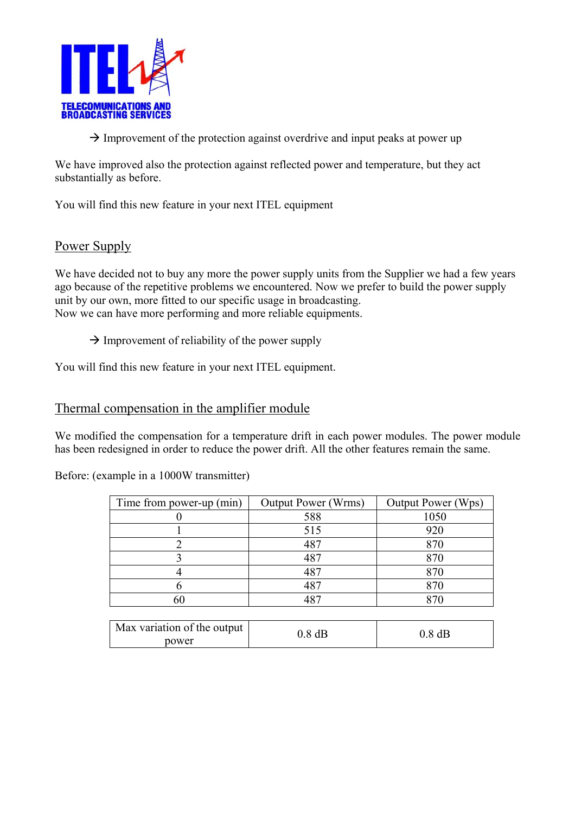

 $\rightarrow$  Improvement of the protection against overdrive and input peaks at power up

We have improved also the protection against reflected power and temperature, but they act substantially as before.

You will find this new feature in your next ITEL equipment

#### Power Supply

We have decided not to buy any more the power supply units from the Supplier we had a few years ago because of the repetitive problems we encountered. Now we prefer to build the power supply unit by our own, more fitted to our specific usage in broadcasting. Now we can have more performing and more reliable equipments.

 $\rightarrow$  Improvement of reliability of the power supply

You will find this new feature in your next ITEL equipment.

#### Thermal compensation in the amplifier module

We modified the compensation for a temperature drift in each power modules. The power module has been redesigned in order to reduce the power drift. All the other features remain the same.

Before: (example in a 1000W transmitter)

| Time from power-up (min) | <b>Output Power (Wrms)</b> | Output Power (Wps) |
|--------------------------|----------------------------|--------------------|
|                          | 588                        | 1050               |
|                          | 515                        | 920                |
|                          | 487                        |                    |
|                          | 487                        | 870                |
|                          | 487                        | 870                |
|                          | 4 Q T                      | 870                |
|                          |                            |                    |

| Max variation of the output | ).8 dB | $0.8~\mathrm{dB}$ |
|-----------------------------|--------|-------------------|
| power                       |        |                   |